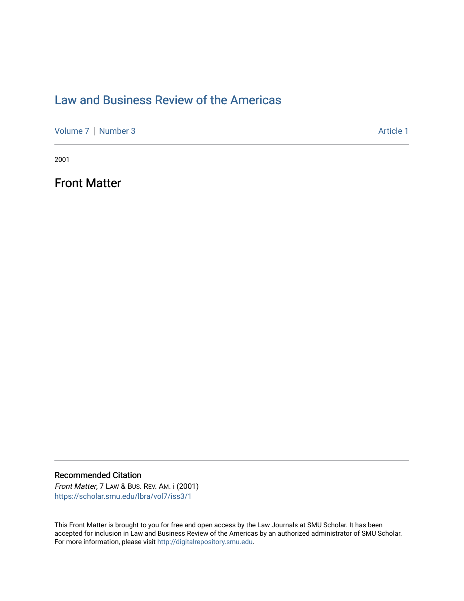## [Law and Business Review of the Americas](https://scholar.smu.edu/lbra)

[Volume 7](https://scholar.smu.edu/lbra/vol7) | [Number 3](https://scholar.smu.edu/lbra/vol7/iss3) Article 1

2001

Front Matter

### Recommended Citation

Front Matter, 7 LAW & BUS. REV. AM. i (2001) [https://scholar.smu.edu/lbra/vol7/iss3/1](https://scholar.smu.edu/lbra/vol7/iss3/1?utm_source=scholar.smu.edu%2Flbra%2Fvol7%2Fiss3%2F1&utm_medium=PDF&utm_campaign=PDFCoverPages)

This Front Matter is brought to you for free and open access by the Law Journals at SMU Scholar. It has been accepted for inclusion in Law and Business Review of the Americas by an authorized administrator of SMU Scholar. For more information, please visit [http://digitalrepository.smu.edu](http://digitalrepository.smu.edu/).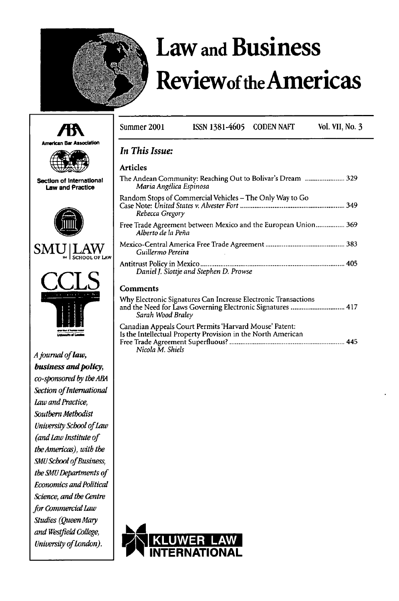

# **Law and Business Reviewof theAmericas**

|                                                     | Summer 2001                                                                                                                                       | <b>ISSN 1381-4605</b>                                                                                                  | <b>CODEN NAFT</b> | <b>Vol. VII, No. 3</b> |
|-----------------------------------------------------|---------------------------------------------------------------------------------------------------------------------------------------------------|------------------------------------------------------------------------------------------------------------------------|-------------------|------------------------|
|                                                     |                                                                                                                                                   |                                                                                                                        |                   |                        |
| <b>American Bar Association</b>                     | In This Issue:                                                                                                                                    |                                                                                                                        |                   |                        |
|                                                     | <b>Articles</b>                                                                                                                                   |                                                                                                                        |                   |                        |
| Section of International<br><b>Law and Practice</b> | The Andean Community: Reaching Out to Bolivar's Dream  329<br>Maria Angélica Espinosa                                                             |                                                                                                                        |                   |                        |
|                                                     | Random Stops of Commercial Vehicles - The Only Way to Go<br>Rebecca Gregory                                                                       |                                                                                                                        |                   |                        |
|                                                     | Free Trade Agreement between Mexico and the European Union 369<br>Alberto de la Peña                                                              |                                                                                                                        |                   |                        |
| SMI                                                 | Guillermo Pereira                                                                                                                                 |                                                                                                                        |                   |                        |
|                                                     | Daniel J. Slottje and Stephen D. Prowse                                                                                                           |                                                                                                                        |                   |                        |
|                                                     | <b>Comments</b>                                                                                                                                   |                                                                                                                        |                   |                        |
|                                                     | Why Electronic Signatures Can Increase Electronic Transactions<br>and the Need for Laws Governing Electronic Signatures  417<br>Sarah Wood Braley |                                                                                                                        |                   |                        |
|                                                     |                                                                                                                                                   | Canadian Appeals Court Permits 'Harvard Mouse' Patent:<br>Is the Intellectual Property Provision in the North American |                   |                        |
| A journal of law,                                   | Nicola M. Shiels                                                                                                                                  |                                                                                                                        |                   |                        |
| business and policy,                                |                                                                                                                                                   |                                                                                                                        |                   |                        |
| co-sponsored by the ABA                             |                                                                                                                                                   |                                                                                                                        |                   |                        |
| Section of International                            |                                                                                                                                                   |                                                                                                                        |                   |                        |
| Law and Practice,                                   |                                                                                                                                                   |                                                                                                                        |                   |                        |
| Southern Methodist                                  |                                                                                                                                                   |                                                                                                                        |                   |                        |
| University School of Law                            |                                                                                                                                                   |                                                                                                                        |                   |                        |
| (and Law Institute of                               |                                                                                                                                                   |                                                                                                                        |                   |                        |
| the Americas), with the                             |                                                                                                                                                   |                                                                                                                        |                   |                        |
| SMU School of Business,                             |                                                                                                                                                   |                                                                                                                        |                   |                        |
| the SMU Departments of                              |                                                                                                                                                   |                                                                                                                        |                   |                        |
| <b>Economics and Political</b>                      |                                                                                                                                                   |                                                                                                                        |                   |                        |
| Science, and the Centre                             |                                                                                                                                                   |                                                                                                                        |                   |                        |
| for Commercial Law                                  |                                                                                                                                                   |                                                                                                                        |                   |                        |
| Studies (Queen Mary                                 |                                                                                                                                                   |                                                                                                                        |                   |                        |
| and Westfield College,                              |                                                                                                                                                   |                                                                                                                        |                   |                        |



*Unitesity ofLondon).*